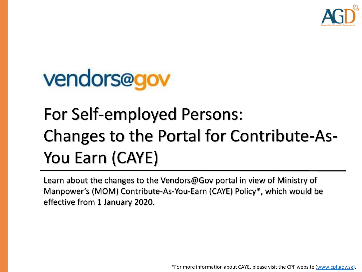

# vendors@gov

## For Self-employed Persons: Changes to the Portal for Contribute-As-You Earn (CAYE)

Learn about the changes to the Vendors@Gov portal in view of Ministry of Manpower's (MOM) Contribute-As-You-Earn (CAYE) Policy\*, which would be effective from 1 January 2020.

\*For more information about CAYE, please visit the CPF website ([www.cpf.gov.sg](http://www.cpf.gov.sg/)).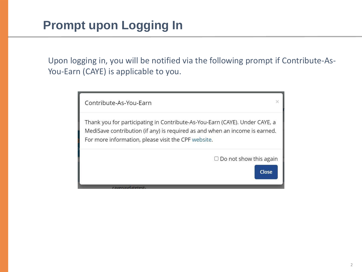Upon logging in, you will be notified via the following prompt if Contribute-As-You-Earn (CAYE) is applicable to you.

| Contribute-As-You-Earn                                                                                                                                                                                            |  |
|-------------------------------------------------------------------------------------------------------------------------------------------------------------------------------------------------------------------|--|
| Thank you for participating in Contribute-As-You-Earn (CAYE). Under CAYE, a<br>MediSave contribution (if any) is required as and when an income is earned.<br>For more information, please visit the CPF website. |  |
| $\Box$ Do not show this again<br>Close                                                                                                                                                                            |  |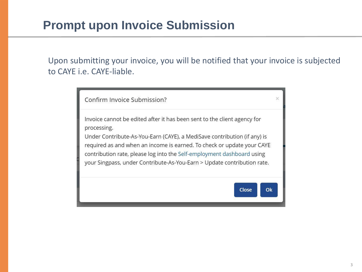#### **Prompt upon Invoice Submission**

Upon submitting your invoice, you will be notified that your invoice is subjected to CAYE i.e. CAYE-liable.

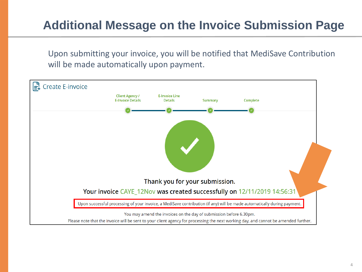### **Additional Message on the Invoice Submission Page**

Upon submitting your invoice, you will be notified that MediSave Contribution will be made automatically upon payment.

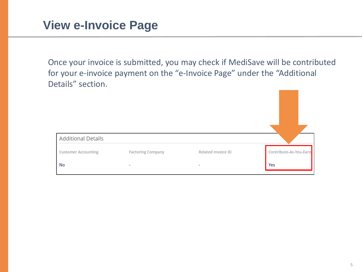Once your invoice is submitted, you may check if MediSave will be contributed for your e-invoice payment on the "e-Invoice Page" under the "Additional Details" section.

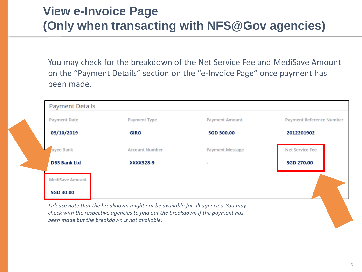#### **View e-Invoice Page (Only when transacting with NFS@Gov agencies)**

You may check for the breakdown of the Net Service Fee and MediSave Amount on the "Payment Details" section on the "e-Invoice Page" once payment has been made.

| <b>Payment Details</b> |                       |                        |                          |
|------------------------|-----------------------|------------------------|--------------------------|
| <b>Payment Date</b>    | Payment Type          | <b>Payment Amount</b>  | Payment Reference Number |
| 09/10/2019             | GIRO                  | <b>SGD 300.00</b>      | 2012201902               |
| ayee Bank              | <b>Account Number</b> | <b>Payment Message</b> | Net Service Fee          |
| <b>DBS Bank Ltd</b>    | XXXX328-9             | $\sim$                 | <b>SGD 270.00</b>        |
| <b>MediSave Amount</b> |                       |                        |                          |
| <b>SGD 30.00</b>       |                       |                        |                          |

*\*Please note that the breakdown might not be available for all agencies. You may check with the respective agencies to find out the breakdown if the payment has been made but the breakdown is not available.*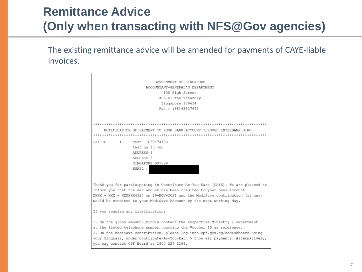#### **Remittance Advice (Only when transacting with NFS@Gov agencies)**

The existing remittance advice will be amended for payments of CAYE-liable invoices.

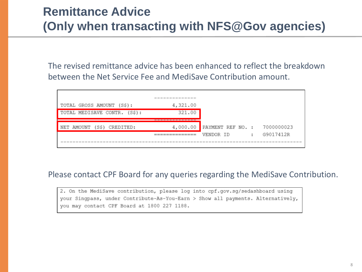#### **Remittance Advice (Only when transacting with NFS@Gov agencies)**

The revised remittance advice has been enhanced to reflect the breakdown between the Net Service Fee and MediSave Contribution amount.

|                                  | --------------------- |                   |                      |            |
|----------------------------------|-----------------------|-------------------|----------------------|------------|
| TOTAL GROSS AMOUNT (S\$):        | 4,321.00              |                   |                      |            |
| TOTAL MEDISAVE CONTR. (S\$):     | 321.00                |                   |                      |            |
|                                  | --------------        |                   |                      |            |
| CREDITED:<br>NET AMOUNT<br>(S\$) | 4,000.00              | PAYMENT REF NO. : |                      | 7000000023 |
|                                  | ===============       | VENDOR ID         | $\ddot{\phantom{a}}$ | G9017412R  |
|                                  |                       |                   |                      |            |

#### Please contact CPF Board for any queries regarding the MediSave Contribution.

2. On the MediSave contribution, please log into cpf.gov.sq/sedashboard using your Singpass, under Contribute-As-You-Earn > Show all payments. Alternatively, you may contact CPF Board at 1800 227 1188.